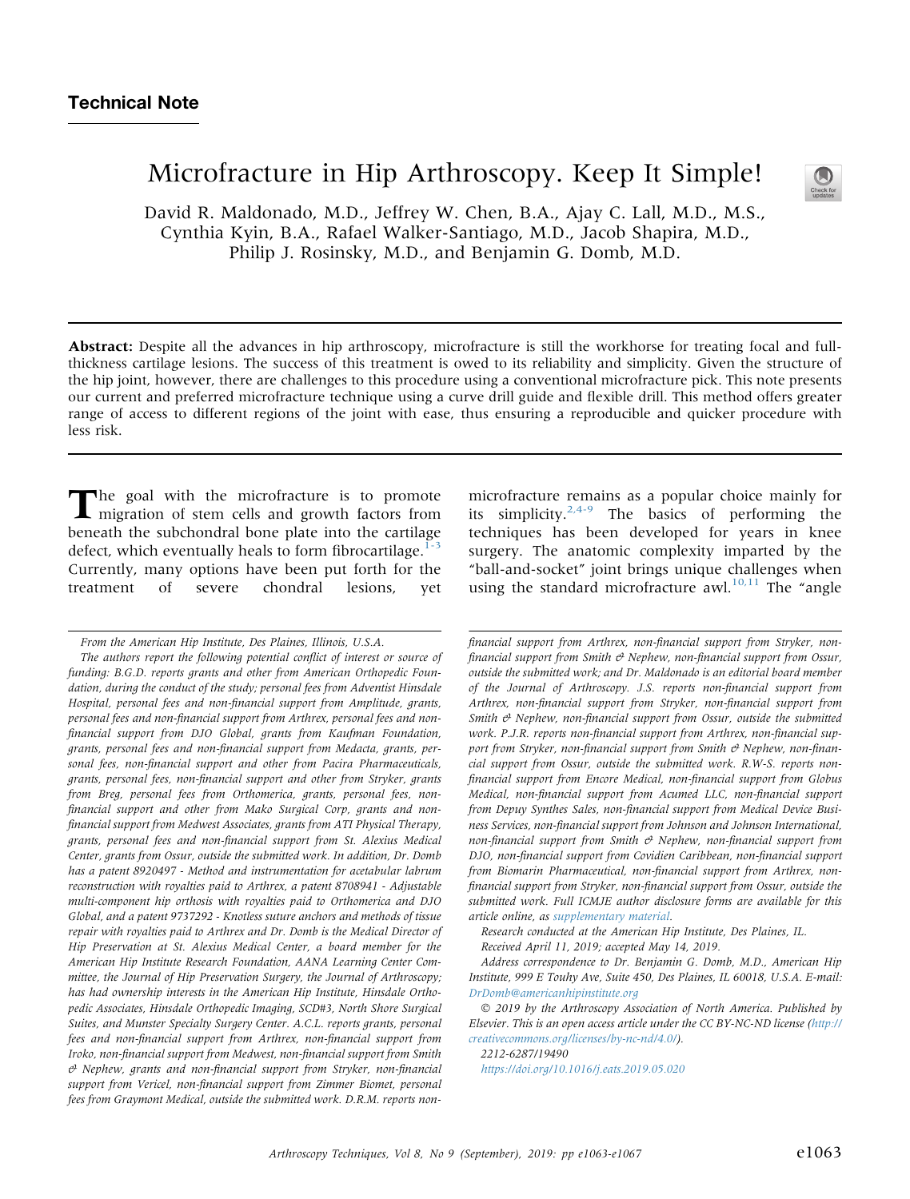# Microfracture in Hip Arthroscopy. Keep It Simple!

David R. Maldonado, M.D., Jeffrey W. Chen, B.A., Ajay C. Lall, M.D., M.S., Cynthia Kyin, B.A., Rafael Walker-Santiago, M.D., Jacob Shapira, M.D., Philip J. Rosinsky, M.D., and Benjamin G. Domb, M.D.

Abstract: Despite all the advances in hip arthroscopy, microfracture is still the workhorse for treating focal and fullthickness cartilage lesions. The success of this treatment is owed to its reliability and simplicity. Given the structure of the hip joint, however, there are challenges to this procedure using a conventional microfracture pick. This note presents our current and preferred microfracture technique using a curve drill guide and flexible drill. This method offers greater range of access to different regions of the joint with ease, thus ensuring a reproducible and quicker procedure with less risk.

The goal with the microfracture is to promote<br>migration of stem cells and growth factors from<br>beneath the subchondral bone plate into the cartilage<br>defect, which eventually heals to form fibrocartilage.<sup>1-3</sup> migration of stem cells and growth factors from beneath the subchondral bone plate into the cartilage defect, which eventually heals to form fibrocartilage. $1-3$ Currently, many options have been put forth for the treatment of severe chondral lesions, yet

microfracture remains as a popular choice mainly for its simplicity.<sup>[2,4-9](#page-4-0)</sup> The basics of performing the techniques has been developed for years in knee surgery. The anatomic complexity imparted by the "ball-and-socket" joint brings unique challenges when using the standard microfracture awl.<sup>[10,11](#page-4-0)</sup> The "angle

financial support from Arthrex, non-financial support from Stryker, nonfinancial support from Smith  $\mathcal O$  Nephew, non-financial support from Ossur, outside the submitted work; and Dr. Maldonado is an editorial board member of the Journal of Arthroscopy. J.S. reports non-financial support from Arthrex, non-financial support from Stryker, non-financial support from Smith  $\mathcal{C}$  Nephew, non-financial support from Ossur, outside the submitted work. P.J.R. reports non-financial support from Arthrex, non-financial support from Stryker, non-financial support from Smith  $\Theta$  Nephew, non-financial support from Ossur, outside the submitted work. R.W-S. reports nonfinancial support from Encore Medical, non-financial support from Globus Medical, non-financial support from Acumed LLC, non-financial support from Depuy Synthes Sales, non-financial support from Medical Device Business Services, non-financial support from Johnson and Johnson International, non-financial support from Smith  $\Theta$  Nephew, non-financial support from DJO, non-financial support from Covidien Caribbean, non-financial support from Biomarin Pharmaceutical, non-financial support from Arthrex, nonfinancial support from Stryker, non-financial support from Ossur, outside the submitted work. Full ICMJE author disclosure forms are available for this article online, as [supplementary material](#page-4-0).

Research conducted at the American Hip Institute, Des Plaines, IL.

Received April 11, 2019; accepted May 14, 2019.

Address correspondence to Dr. Benjamin G. Domb, M.D., American Hip Institute, 999 E Touhy Ave, Suite 450, Des Plaines, IL 60018, U.S.A. E-mail: [DrDomb@americanhipinstitute.org](mailto:DrDomb@americanhipinstitute.org)

 2019 by the Arthroscopy Association of North America. Published by Elsevier. This is an open access article under the CC BY-NC-ND license ([http://](http://creativecommons.org/licenses/by-nc-nd/4.0/) [creativecommons.org/licenses/by-nc-nd/4.0/\)](http://creativecommons.org/licenses/by-nc-nd/4.0/).

2212-6287/19490

<https://doi.org/10.1016/j.eats.2019.05.020>



From the American Hip Institute, Des Plaines, Illinois, U.S.A.

The authors report the following potential conflict of interest or source of funding: B.G.D. reports grants and other from American Orthopedic Foundation, during the conduct of the study; personal fees from Adventist Hinsdale Hospital, personal fees and non-financial support from Amplitude, grants, personal fees and non-financial support from Arthrex, personal fees and nonfinancial support from DJO Global, grants from Kaufman Foundation, grants, personal fees and non-financial support from Medacta, grants, personal fees, non-financial support and other from Pacira Pharmaceuticals, grants, personal fees, non-financial support and other from Stryker, grants from Breg, personal fees from Orthomerica, grants, personal fees, nonfinancial support and other from Mako Surgical Corp, grants and nonfinancial support from Medwest Associates, grants from ATI Physical Therapy, grants, personal fees and non-financial support from St. Alexius Medical Center, grants from Ossur, outside the submitted work. In addition, Dr. Domb has a patent 8920497 - Method and instrumentation for acetabular labrum reconstruction with royalties paid to Arthrex, a patent 8708941 - Adjustable multi-component hip orthosis with royalties paid to Orthomerica and DJO Global, and a patent 9737292 - Knotless suture anchors and methods of tissue repair with royalties paid to Arthrex and Dr. Domb is the Medical Director of Hip Preservation at St. Alexius Medical Center, a board member for the American Hip Institute Research Foundation, AANA Learning Center Committee, the Journal of Hip Preservation Surgery, the Journal of Arthroscopy; has had ownership interests in the American Hip Institute, Hinsdale Orthopedic Associates, Hinsdale Orthopedic Imaging, SCD#3, North Shore Surgical Suites, and Munster Specialty Surgery Center. A.C.L. reports grants, personal fees and non-financial support from Arthrex, non-financial support from Iroko, non-financial support from Medwest, non-financial support from Smith  $\theta$  Nephew, grants and non-financial support from Stryker, non-financial support from Vericel, non-financial support from Zimmer Biomet, personal fees from Graymont Medical, outside the submitted work. D.R.M. reports non-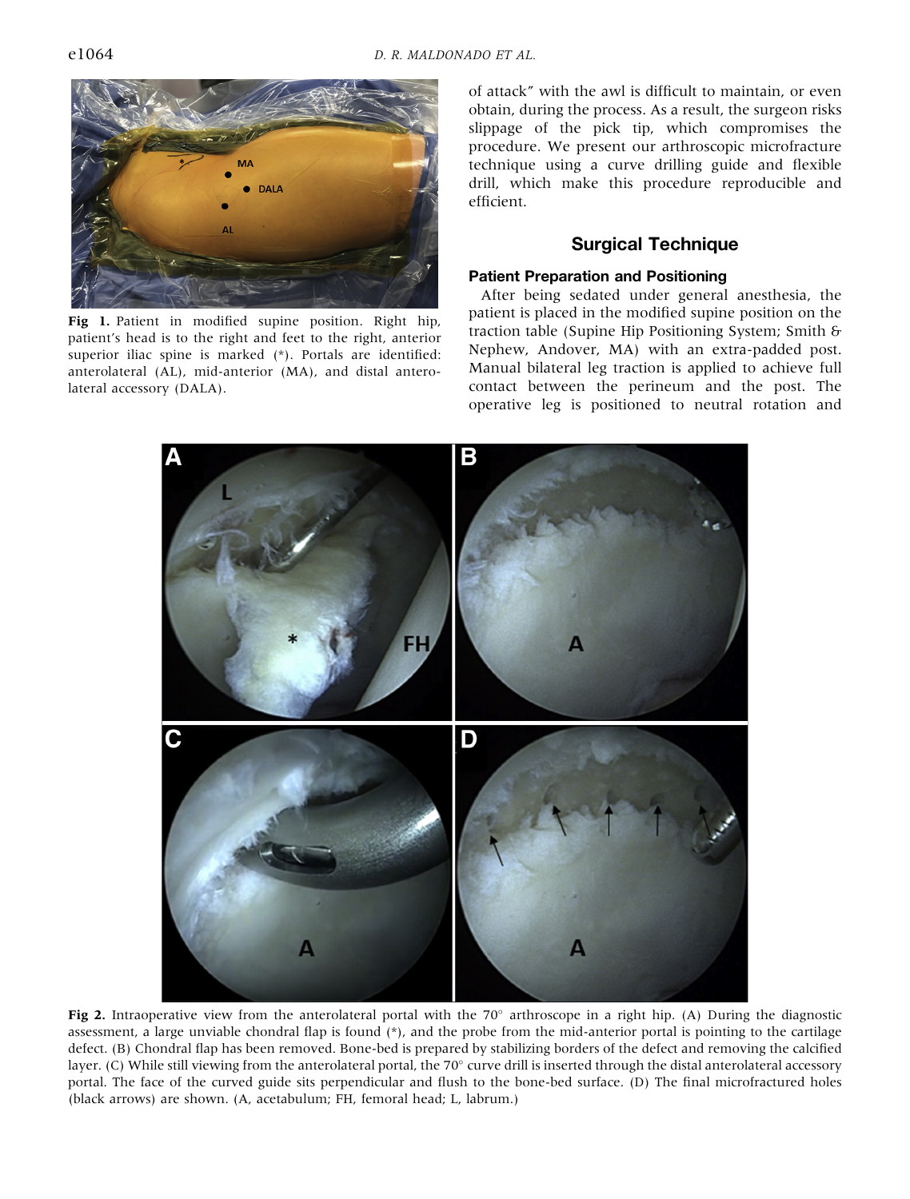<span id="page-1-0"></span>

Fig 1. Patient in modified supine position. Right hip, patient's head is to the right and feet to the right, anterior superior iliac spine is marked (\*). Portals are identified: anterolateral (AL), mid-anterior (MA), and distal anterolateral accessory (DALA).

of attack" with the awl is difficult to maintain, or even obtain, during the process. As a result, the surgeon risks slippage of the pick tip, which compromises the procedure. We present our arthroscopic microfracture technique using a curve drilling guide and flexible drill, which make this procedure reproducible and efficient.

## Surgical Technique

### Patient Preparation and Positioning

After being sedated under general anesthesia, the patient is placed in the modified supine position on the traction table (Supine Hip Positioning System; Smith & Nephew, Andover, MA) with an extra-padded post. Manual bilateral leg traction is applied to achieve full contact between the perineum and the post. The operative leg is positioned to neutral rotation and



Fig 2. Intraoperative view from the anterolateral portal with the  $70^\circ$  arthroscope in a right hip. (A) During the diagnostic assessment, a large unviable chondral flap is found  $(*)$ , and the probe from the mid-anterior portal is pointing to the cartilage defect. (B) Chondral flap has been removed. Bone-bed is prepared by stabilizing borders of the defect and removing the calcified layer. (C) While still viewing from the anterolateral portal, the  $70^{\circ}$  curve drill is inserted through the distal anterolateral accessory portal. The face of the curved guide sits perpendicular and flush to the bone-bed surface. (D) The final microfractured holes (black arrows) are shown. (A, acetabulum; FH, femoral head; L, labrum.)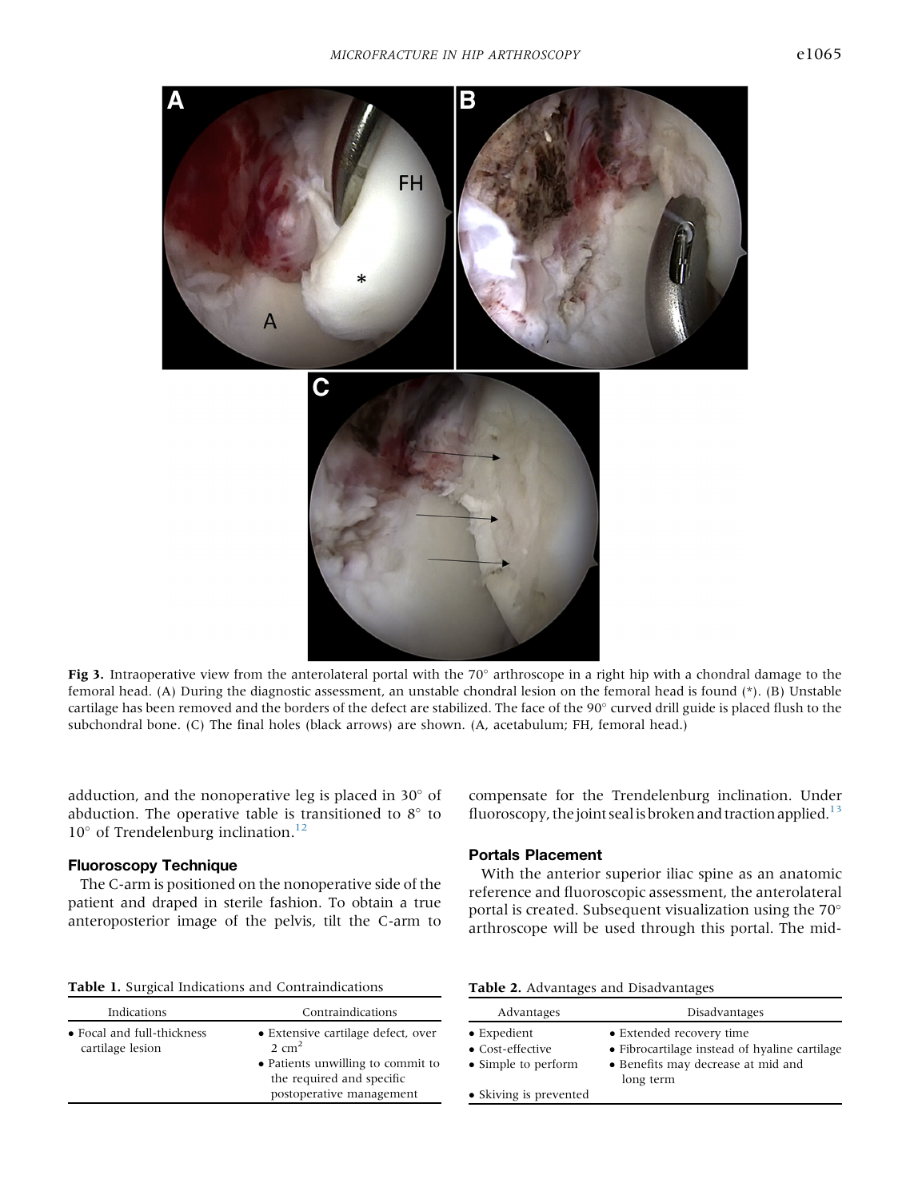<span id="page-2-0"></span>

Fig 3. Intraoperative view from the anterolateral portal with the 70 $\degree$  arthroscope in a right hip with a chondral damage to the femoral head. (A) During the diagnostic assessment, an unstable chondral lesion on the femoral head is found (\*). (B) Unstable cartilage has been removed and the borders of the defect are stabilized. The face of the 90° curved drill guide is placed flush to the subchondral bone. (C) The final holes (black arrows) are shown. (A, acetabulum; FH, femoral head.)

adduction, and the nonoperative leg is placed in  $30^{\circ}$  of abduction. The operative table is transitioned to  $8^\circ$  to  $10^{\circ}$  of Trendelenburg inclination.<sup>12</sup>

#### Fluoroscopy Technique

The C-arm is positioned on the nonoperative side of the patient and draped in sterile fashion. To obtain a true anteroposterior image of the pelvis, tilt the C-arm to

Table 1. Surgical Indications and Contraindications

compensate for the Trendelenburg inclination. Under fluoroscopy, the joint seal is broken and traction applied.<sup>13</sup>

#### Portals Placement

With the anterior superior iliac spine as an anatomic reference and fluoroscopic assessment, the anterolateral portal is created. Subsequent visualization using the 70 arthroscope will be used through this portal. The mid-

|  | <b>Table 2.</b> Advantages and Disadvantages |
|--|----------------------------------------------|
|  |                                              |

| Indications                                            | Contraindications                                                                          |
|--------------------------------------------------------|--------------------------------------------------------------------------------------------|
| $\bullet$ Focal and full-thickness<br>cartilage lesion | • Extensive cartilage defect, over<br>$2 \text{ cm}^2$                                     |
|                                                        | • Patients unwilling to commit to<br>the required and specific<br>postoperative management |
|                                                        |                                                                                            |

| Advantages                                                     | Disadvantages                                                                                                                |
|----------------------------------------------------------------|------------------------------------------------------------------------------------------------------------------------------|
| $\bullet$ Expedient<br>• Cost-effective<br>• Simple to perform | • Extended recovery time<br>• Fibrocartilage instead of hyaline cartilage<br>• Benefits may decrease at mid and<br>long term |
| • Skiving is prevented                                         |                                                                                                                              |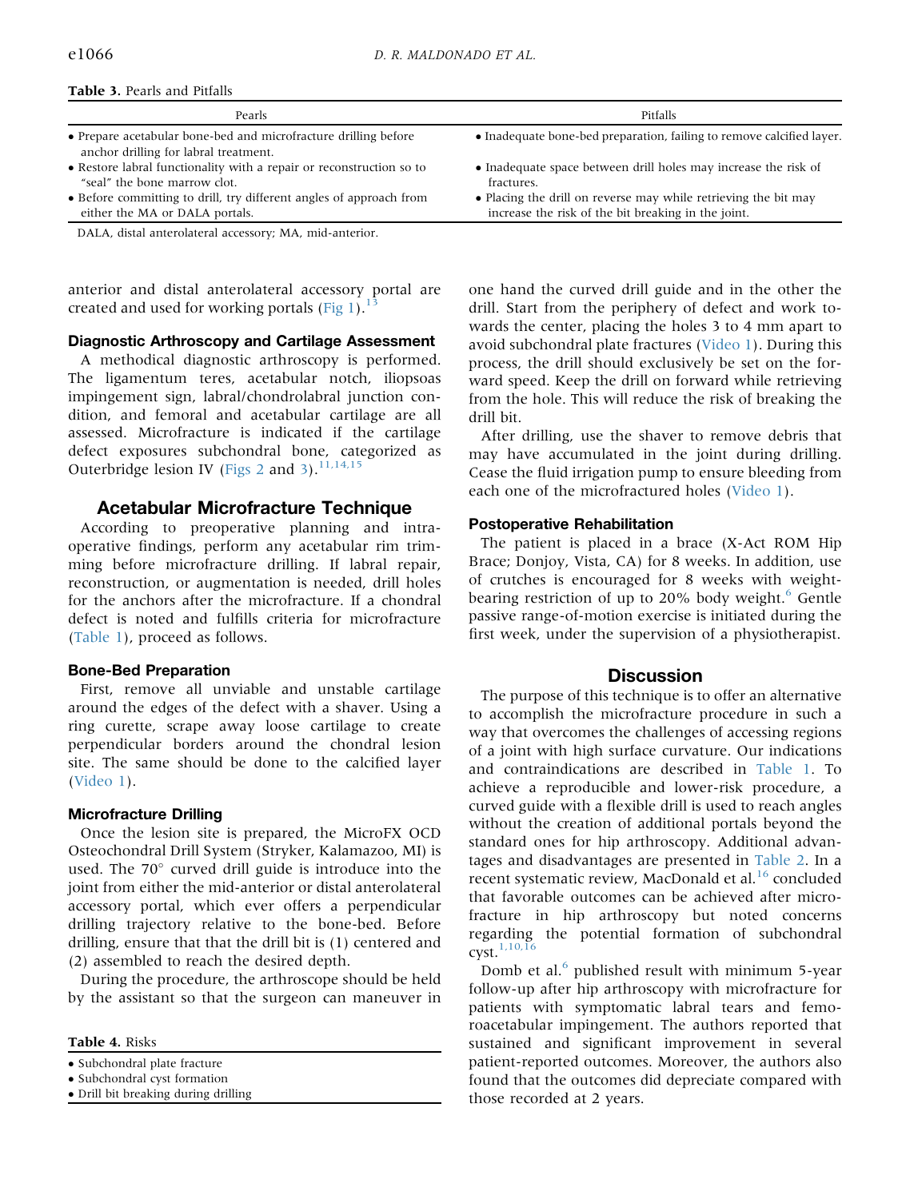<span id="page-3-0"></span>

|  |  | <b>Table 3. Pearls and Pitfalls</b> |
|--|--|-------------------------------------|
|  |  |                                     |

| Pearls                                                                                                   | Pitfalls                                                                                                               |
|----------------------------------------------------------------------------------------------------------|------------------------------------------------------------------------------------------------------------------------|
| • Prepare acetabular bone-bed and microfracture drilling before<br>anchor drilling for labral treatment. | • Inadequate bone-bed preparation, failing to remove calcified layer.                                                  |
| • Restore labral functionality with a repair or reconstruction so to<br>"seal" the bone marrow clot.     | • Inadequate space between drill holes may increase the risk of<br>fractures.                                          |
| • Before committing to drill, try different angles of approach from<br>either the MA or DALA portals.    | • Placing the drill on reverse may while retrieving the bit may<br>increase the risk of the bit breaking in the joint. |

DALA, distal anterolateral accessory; MA, mid-anterior.

anterior and distal anterolateral accessory portal are created and used for working portals  $(Fig 1).<sup>13</sup>$  $(Fig 1).<sup>13</sup>$  $(Fig 1).<sup>13</sup>$  $(Fig 1).<sup>13</sup>$  $(Fig 1).<sup>13</sup>$ 

#### Diagnostic Arthroscopy and Cartilage Assessment

A methodical diagnostic arthroscopy is performed. The ligamentum teres, acetabular notch, iliopsoas impingement sign, labral/chondrolabral junction condition, and femoral and acetabular cartilage are all assessed. Microfracture is indicated if the cartilage defect exposures subchondral bone, categorized as Outerbridge lesion IV ([Figs 2](#page-1-0) and [3](#page-2-0)).<sup>[11,14,15](#page-4-0)</sup>

# Acetabular Microfracture Technique

According to preoperative planning and intraoperative findings, perform any acetabular rim trimming before microfracture drilling. If labral repair, reconstruction, or augmentation is needed, drill holes for the anchors after the microfracture. If a chondral defect is noted and fulfills criteria for microfracture [\(Table 1\)](#page-2-0), proceed as follows.

## Bone-Bed Preparation

First, remove all unviable and unstable cartilage around the edges of the defect with a shaver. Using a ring curette, scrape away loose cartilage to create perpendicular borders around the chondral lesion site. The same should be done to the calcified layer [\(Video 1](#page-4-0)).

## Microfracture Drilling

Once the lesion site is prepared, the MicroFX OCD Osteochondral Drill System (Stryker, Kalamazoo, MI) is used. The  $70^{\circ}$  curved drill guide is introduce into the joint from either the mid-anterior or distal anterolateral accessory portal, which ever offers a perpendicular drilling trajectory relative to the bone-bed. Before drilling, ensure that that the drill bit is (1) centered and (2) assembled to reach the desired depth.

During the procedure, the arthroscope should be held by the assistant so that the surgeon can maneuver in

Table 4. Risks

- Subchondral cyst formation
- Drill bit breaking during drilling

one hand the curved drill guide and in the other the drill. Start from the periphery of defect and work towards the center, placing the holes 3 to 4 mm apart to avoid subchondral plate fractures ([Video 1](#page-4-0)). During this process, the drill should exclusively be set on the forward speed. Keep the drill on forward while retrieving from the hole. This will reduce the risk of breaking the drill bit.

After drilling, use the shaver to remove debris that may have accumulated in the joint during drilling. Cease the fluid irrigation pump to ensure bleeding from each one of the microfractured holes ([Video 1\)](#page-4-0).

## Postoperative Rehabilitation

The patient is placed in a brace (X-Act ROM Hip Brace; Donjoy, Vista, CA) for 8 weeks. In addition, use of crutches is encouraged for 8 weeks with weight-bearing restriction of up to 20% body weight.<sup>[6](#page-4-0)</sup> Gentle passive range-of-motion exercise is initiated during the first week, under the supervision of a physiotherapist.

# **Discussion**

The purpose of this technique is to offer an alternative to accomplish the microfracture procedure in such a way that overcomes the challenges of accessing regions of a joint with high surface curvature. Our indications and contraindications are described in [Table 1](#page-2-0). To achieve a reproducible and lower-risk procedure, a curved guide with a flexible drill is used to reach angles without the creation of additional portals beyond the standard ones for hip arthroscopy. Additional advantages and disadvantages are presented in [Table 2](#page-2-0). In a recent systematic review, MacDonald et al.<sup>[16](#page-4-0)</sup> concluded that favorable outcomes can be achieved after microfracture in hip arthroscopy but noted concerns regarding the potential formation of subchondral cyst.[1,10,16](#page-4-0)

Domb et al.<sup>[6](#page-4-0)</sup> published result with minimum 5-year follow-up after hip arthroscopy with microfracture for patients with symptomatic labral tears and femoroacetabular impingement. The authors reported that sustained and significant improvement in several patient-reported outcomes. Moreover, the authors also found that the outcomes did depreciate compared with those recorded at 2 years.

<sup>•</sup> Subchondral plate fracture